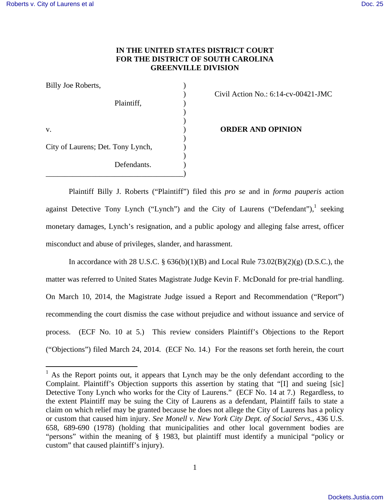# **IN THE UNITED STATES DISTRICT COURT FOR THE DISTRICT OF SOUTH CAROLINA GREENVILLE DIVISION**

| Billy Joe Roberts,                |  |
|-----------------------------------|--|
| Plaintiff,                        |  |
|                                   |  |
| V.                                |  |
| City of Laurens; Det. Tony Lynch, |  |
| Defendants.                       |  |

""""""""""""""""""""""""""""""""""""""""""""""""""""""

# ) Civil Action No.: 6:14-cv-00421-JMC

**ORDER AND OPINION** 

 Plaintiff Billy J. Roberts ("Plaintiff") filed this *pro se* and in *forma pauperis* action against Detective Tony Lynch ("Lynch") and the City of Laurens ("Defendant"), $1$  seeking monetary damages, Lynch's resignation, and a public apology and alleging false arrest, officer misconduct and abuse of privileges, slander, and harassment.

In accordance with 28 U.S.C. §  $636(b)(1)(B)$  and Local Rule  $73.02(B)(2)(g)$  (D.S.C.), the matter was referred to United States Magistrate Judge Kevin F. McDonald for pre-trial handling. On March 10, 2014, the Magistrate Judge issued a Report and Recommendation ("Report") recommending the court dismiss the case without prejudice and without issuance and service of process. (ECF No. 10 at 5.) This review considers Plaintiff's Objections to the Report ("Objections") filed March 24, 2014. (ECF No. 14.) For the reasons set forth herein, the court

<sup>&</sup>lt;sup>1</sup> As the Report points out, it appears that Lynch may be the only defendant according to the Complaint. Plaintiff's Objection supports this assertion by stating that "[I] and sueing [sic] Detective Tony Lynch who works for the City of Laurens." (ECF No. 14 at 7.) Regardless, to the extent Plaintiff may be suing the City of Laurens as a defendant, Plaintiff fails to state a claim on which relief may be granted because he does not allege the City of Laurens has a policy or custom that caused him injury. *See Monell v. New York City Dept. of Social Servs.*, 436 U.S. 658, 689-690 (1978) (holding that municipalities and other local government bodies are "persons" within the meaning of § 1983, but plaintiff must identify a municipal "policy or custom" that caused plaintiff's injury).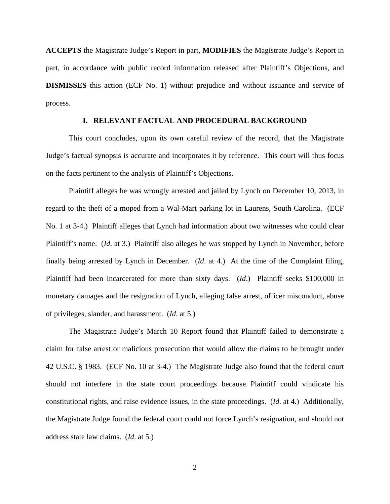**ACCEPTS** the Magistrate Judge's Report in part, **MODIFIES** the Magistrate Judge's Report in part, in accordance with public record information released after Plaintiff's Objections, and **DISMISSES** this action (ECF No. 1) without prejudice and without issuance and service of process.

# **I. RELEVANT FACTUAL AND PROCEDURAL BACKGROUND**

This court concludes, upon its own careful review of the record, that the Magistrate Judge's factual synopsis is accurate and incorporates it by reference. This court will thus focus on the facts pertinent to the analysis of Plaintiff's Objections.

Plaintiff alleges he was wrongly arrested and jailed by Lynch on December 10, 2013, in regard to the theft of a moped from a Wal-Mart parking lot in Laurens, South Carolina. (ECF No. 1 at 3-4.) Plaintiff alleges that Lynch had information about two witnesses who could clear Plaintiff's name. (*Id*. at 3.) Plaintiff also alleges he was stopped by Lynch in November, before finally being arrested by Lynch in December. (*Id*. at 4.) At the time of the Complaint filing, Plaintiff had been incarcerated for more than sixty days. (*Id*.) Plaintiff seeks \$100,000 in monetary damages and the resignation of Lynch, alleging false arrest, officer misconduct, abuse of privileges, slander, and harassment. (*Id*. at 5.)

The Magistrate Judge's March 10 Report found that Plaintiff failed to demonstrate a claim for false arrest or malicious prosecution that would allow the claims to be brought under 42 U.S.C. § 1983. (ECF No. 10 at 3-4.) The Magistrate Judge also found that the federal court should not interfere in the state court proceedings because Plaintiff could vindicate his constitutional rights, and raise evidence issues, in the state proceedings. (*Id*. at 4.) Additionally, the Magistrate Judge found the federal court could not force Lynch's resignation, and should not address state law claims. (*Id*. at 5.)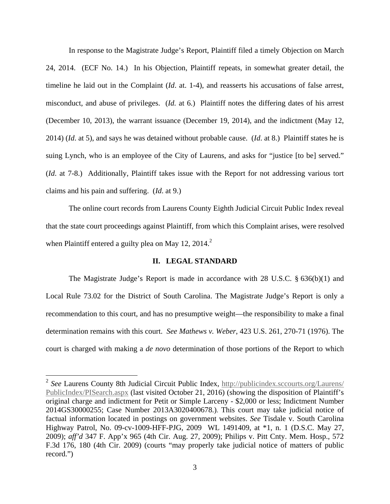In response to the Magistrate Judge's Report, Plaintiff filed a timely Objection on March 24, 2014. (ECF No. 14.) In his Objection, Plaintiff repeats, in somewhat greater detail, the timeline he laid out in the Complaint (*Id*. at. 1-4), and reasserts his accusations of false arrest, misconduct, and abuse of privileges. (*Id.* at 6.) Plaintiff notes the differing dates of his arrest (December 10, 2013), the warrant issuance (December 19, 2014), and the indictment (May 12, 2014) (*Id*. at 5), and says he was detained without probable cause. (*Id*. at 8.) Plaintiff states he is suing Lynch, who is an employee of the City of Laurens, and asks for "justice [to be] served." (*Id*. at 7-8.) Additionally, Plaintiff takes issue with the Report for not addressing various tort claims and his pain and suffering. (*Id*. at 9.)

The online court records from Laurens County Eighth Judicial Circuit Public Index reveal that the state court proceedings against Plaintiff, from which this Complaint arises, were resolved when Plaintiff entered a guilty plea on May 12,  $2014<sup>2</sup>$ 

### **II. LEGAL STANDARD**

The Magistrate Judge's Report is made in accordance with 28 U.S.C. § 636(b)(1) and Local Rule 73.02 for the District of South Carolina. The Magistrate Judge's Report is only a recommendation to this court, and has no presumptive weight—the responsibility to make a final determination remains with this court. *See Mathews v. Weber*, 423 U.S. 261, 270-71 (1976). The court is charged with making a *de novo* determination of those portions of the Report to which

<sup>&</sup>lt;sup>2</sup> See Laurens County 8th Judicial Circuit Public Index, http://publicindex.sccourts.org/Laurens/ PublicIndex/PISearch.aspx (last visited October 21, 2016) (showing the disposition of Plaintiff's original charge and indictment for Petit or Simple Larceny - \$2,000 or less; Indictment Number 2014GS30000255; Case Number 2013A3020400678.). This court may take judicial notice of factual information located in postings on government websites. *See* Tisdale v. South Carolina Highway Patrol, No. 09-cv-1009-HFF-PJG, 2009 WL 1491409, at \*1, n. 1 (D.S.C. May 27, 2009); *aff'd* 347 F. App'x 965 (4th Cir. Aug. 27, 2009); Philips v. Pitt Cnty. Mem. Hosp., 572 F.3d 176, 180 (4th Cir. 2009) (courts "may properly take judicial notice of matters of public record.")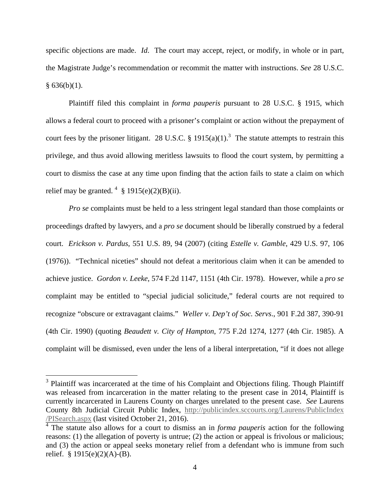specific objections are made. *Id*. The court may accept, reject, or modify, in whole or in part, the Magistrate Judge's recommendation or recommit the matter with instructions. *See* 28 U.S.C.  $§ 636(b)(1).$ 

Plaintiff filed this complaint in *forma pauperis* pursuant to 28 U.S.C. § 1915, which allows a federal court to proceed with a prisoner's complaint or action without the prepayment of court fees by the prisoner litigant. 28 U.S.C. § 1915(a)(1).<sup>3</sup> The statute attempts to restrain this privilege, and thus avoid allowing meritless lawsuits to flood the court system, by permitting a court to dismiss the case at any time upon finding that the action fails to state a claim on which relief may be granted.  $4 \text{ }$ \$ 1915(e)(2)(B)(ii).

*Pro se* complaints must be held to a less stringent legal standard than those complaints or proceedings drafted by lawyers, and a *pro se* document should be liberally construed by a federal court. *Erickson v. Pardus*, 551 U.S. 89, 94 (2007) (citing *Estelle v. Gamble*, 429 U.S. 97, 106 (1976)). "Technical niceties" should not defeat a meritorious claim when it can be amended to achieve justice. *Gordon v. Leeke*, 574 F.2d 1147, 1151 (4th Cir. 1978). However, while a *pro se* complaint may be entitled to "special judicial solicitude," federal courts are not required to recognize "obscure or extravagant claims." *Weller v. Dep't of Soc. Servs*., 901 F.2d 387, 390-91 (4th Cir. 1990) (quoting *Beaudett v. City of Hampton*, 775 F.2d 1274, 1277 (4th Cir. 1985). A complaint will be dismissed, even under the lens of a liberal interpretation, "if it does not allege

<sup>&</sup>lt;sup>3</sup> Plaintiff was incarcerated at the time of his Complaint and Objections filing. Though Plaintiff was released from incarceration in the matter relating to the present case in 2014, Plaintiff is currently incarcerated in Laurens County on charges unrelated to the present case. *See* Laurens County 8th Judicial Circuit Public Index, http://publicindex.sccourts.org/Laurens/PublicIndex /PISearch.aspx (last visited October 21, 2016).

<sup>4</sup> The statute also allows for a court to dismiss an in *forma pauperis* action for the following reasons: (1) the allegation of poverty is untrue; (2) the action or appeal is frivolous or malicious; and (3) the action or appeal seeks monetary relief from a defendant who is immune from such relief.  $§ 1915(e)(2)(A)-(B)$ .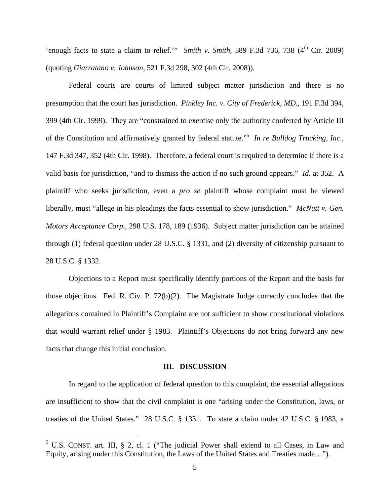'enough facts to state a claim to relief.'" *Smith v. Smith*, 589 F.3d 736, 738 (4<sup>th</sup> Cir. 2009) (quoting *Giarratano v. Johnson*, 521 F.3d 298, 302 (4th Cir. 2008)).

Federal courts are courts of limited subject matter jurisdiction and there is no presumption that the court has jurisdiction. *Pinkley Inc. v. City of Frederick, MD*., 191 F.3d 394, 399 (4th Cir. 1999). They are "constrained to exercise only the authority conferred by Article III of the Constitution and affirmatively granted by federal statute."<sup>5</sup> *In re Bulldog Trucking, Inc*., 147 F.3d 347, 352 (4th Cir. 1998). Therefore, a federal court is required to determine if there is a valid basis for jurisdiction, "and to dismiss the action if no such ground appears." *Id.* at 352. A plaintiff who seeks jurisdiction, even a *pro se* plaintiff whose complaint must be viewed liberally, must "allege in his pleadings the facts essential to show jurisdiction." *McNutt v. Gen. Motors Acceptance Corp.*, 298 U.S. 178, 189 (1936). Subject matter jurisdiction can be attained through (1) federal question under 28 U.S.C. § 1331, and (2) diversity of citizenship pursuant to 28 U.S.C. § 1332.

Objections to a Report must specifically identify portions of the Report and the basis for those objections. Fed. R. Civ. P. 72(b)(2). The Magistrate Judge correctly concludes that the allegations contained in Plaintiff's Complaint are not sufficient to show constitutional violations that would warrant relief under § 1983. Plaintiff's Objections do not bring forward any new facts that change this initial conclusion.

#### **III. DISCUSSION**

In regard to the application of federal question to this complaint, the essential allegations are insufficient to show that the civil complaint is one "arising under the Constitution, laws, or treaties of the United States." 28 U.S.C. § 1331. To state a claim under 42 U.S.C. § 1983, a

 $5$  U.S. CONST. art. III, § 2, cl. 1 ("The judicial Power shall extend to all Cases, in Law and Equity, arising under this Constitution, the Laws of the United States and Treaties made…").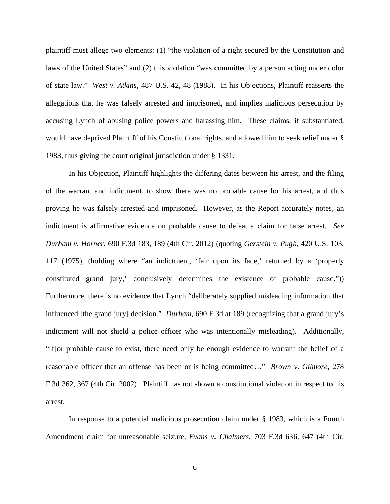plaintiff must allege two elements: (1) "the violation of a right secured by the Constitution and laws of the United States" and (2) this violation "was committed by a person acting under color of state law." *West v. Atkins*, 487 U.S. 42, 48 (1988). In his Objections, Plaintiff reasserts the allegations that he was falsely arrested and imprisoned, and implies malicious persecution by accusing Lynch of abusing police powers and harassing him. These claims, if substantiated, would have deprived Plaintiff of his Constitutional rights, and allowed him to seek relief under § 1983, thus giving the court original jurisdiction under § 1331.

In his Objection, Plaintiff highlights the differing dates between his arrest, and the filing of the warrant and indictment, to show there was no probable cause for his arrest, and thus proving he was falsely arrested and imprisoned. However, as the Report accurately notes, an indictment is affirmative evidence on probable cause to defeat a claim for false arrest. *See Durham v. Horner*, 690 F.3d 183, 189 (4th Cir. 2012) (quoting *Gerstein v. Pugh*, 420 U.S. 103, 117 (1975), (holding where "an indictment, 'fair upon its face,' returned by a 'properly constituted grand jury,' conclusively determines the existence of probable cause.")) Furthermore, there is no evidence that Lynch "deliberately supplied misleading information that influenced [the grand jury] decision." *Durham*, 690 F.3d at 189 (recognizing that a grand jury's indictment will not shield a police officer who was intentionally misleading). Additionally, "[f]or probable cause to exist, there need only be enough evidence to warrant the belief of a reasonable officer that an offense has been or is being committed…" *Brown v. Gilmore*, 278 F.3d 362, 367 (4th Cir. 2002). Plaintiff has not shown a constitutional violation in respect to his arrest.

In response to a potential malicious prosecution claim under § 1983, which is a Fourth Amendment claim for unreasonable seizure, *Evans v. Chalmers*, 703 F.3d 636, 647 (4th Cir.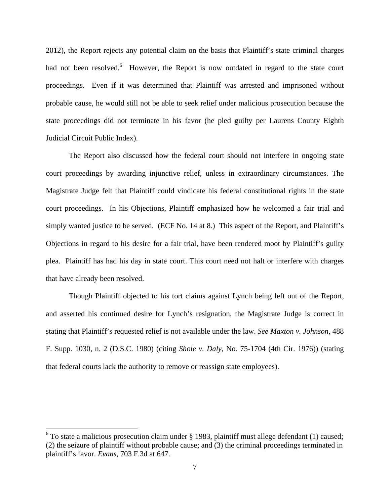2012), the Report rejects any potential claim on the basis that Plaintiff's state criminal charges had not been resolved.<sup>6</sup> However, the Report is now outdated in regard to the state court proceedings. Even if it was determined that Plaintiff was arrested and imprisoned without probable cause, he would still not be able to seek relief under malicious prosecution because the state proceedings did not terminate in his favor (he pled guilty per Laurens County Eighth Judicial Circuit Public Index).

The Report also discussed how the federal court should not interfere in ongoing state court proceedings by awarding injunctive relief, unless in extraordinary circumstances. The Magistrate Judge felt that Plaintiff could vindicate his federal constitutional rights in the state court proceedings. In his Objections, Plaintiff emphasized how he welcomed a fair trial and simply wanted justice to be served. (ECF No. 14 at 8.) This aspect of the Report, and Plaintiff's Objections in regard to his desire for a fair trial, have been rendered moot by Plaintiff's guilty plea. Plaintiff has had his day in state court. This court need not halt or interfere with charges that have already been resolved.

Though Plaintiff objected to his tort claims against Lynch being left out of the Report, and asserted his continued desire for Lynch's resignation, the Magistrate Judge is correct in stating that Plaintiff's requested relief is not available under the law. *See Maxton v. Johnson*, 488 F. Supp. 1030, n. 2 (D.S.C. 1980) (citing *Shole v. Daly*, No. 75-1704 (4th Cir. 1976)) (stating that federal courts lack the authority to remove or reassign state employees).

 $6$  To state a malicious prosecution claim under § 1983, plaintiff must allege defendant (1) caused; (2) the seizure of plaintiff without probable cause; and (3) the criminal proceedings terminated in plaintiff's favor. *Evans,* 703 F.3d at 647.